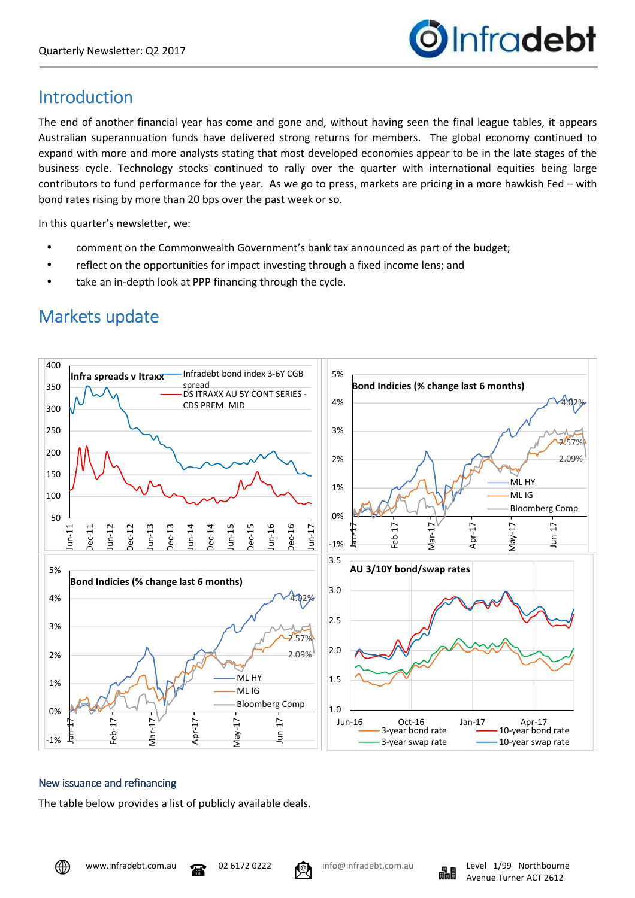

## Introduction

The end of another financial year has come and gone and, without having seen the final league tables, it appears Australian superannuation funds have delivered strong returns for members. The global economy continued to expand with more and more analysts stating that most developed economies appear to be in the late stages of the business cycle. Technology stocks continued to rally over the quarter with international equities being large contributors to fund performance for the year. As we go to press, markets are pricing in a more hawkish Fed – with bond rates rising by more than 20 bps over the past week or so.

In this quarter's newsletter, we:

- comment on the Commonwealth Government's bank tax announced as part of the budget;
- reflect on the opportunities for impact investing through a fixed income lens; and
- take an in-depth look at PPP financing through the cycle.



## Markets update

## New issuance and refinancing

The table below provides a list of publicly available deals.



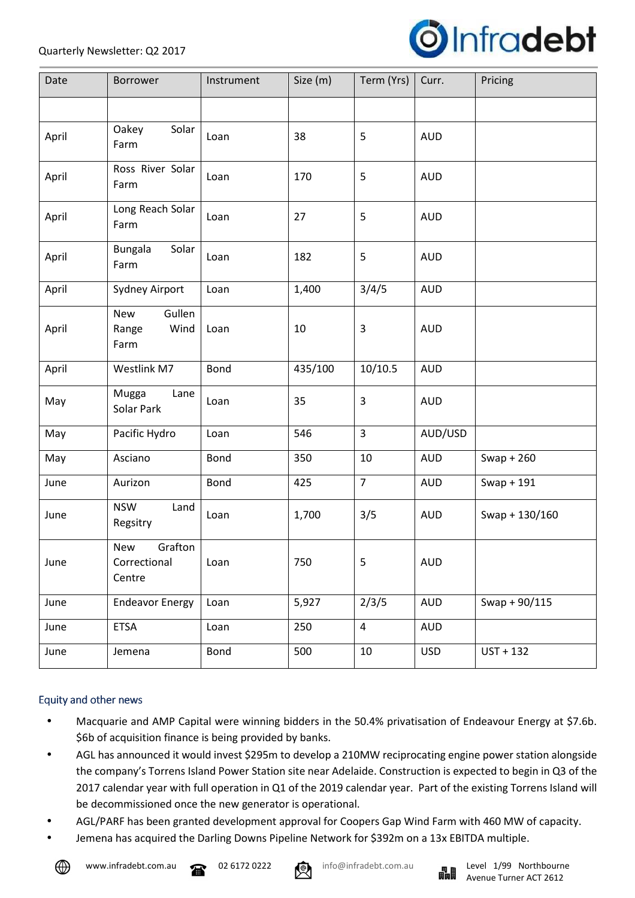

| Date  | <b>Borrower</b>                          | Instrument | Size (m) | Term (Yrs)     | Curr.      | Pricing          |
|-------|------------------------------------------|------------|----------|----------------|------------|------------------|
|       |                                          |            |          |                |            |                  |
| April | Solar<br>Oakey<br>Farm                   | Loan       | 38       | 5              | <b>AUD</b> |                  |
| April | Ross River Solar<br>Farm                 | Loan       | 170      | 5              | <b>AUD</b> |                  |
| April | Long Reach Solar<br>Farm                 | Loan       | 27       | 5              | <b>AUD</b> |                  |
| April | <b>Bungala</b><br>Solar<br>Farm          | Loan       | 182      | 5              | <b>AUD</b> |                  |
| April | Sydney Airport                           | Loan       | 1,400    | 3/4/5          | <b>AUD</b> |                  |
| April | Gullen<br>New<br>Wind<br>Range<br>Farm   | Loan       | 10       | 3              | <b>AUD</b> |                  |
| April | Westlink M7                              | Bond       | 435/100  | 10/10.5        | <b>AUD</b> |                  |
| May   | Mugga<br>Lane<br>Solar Park              | Loan       | 35       | 3              | <b>AUD</b> |                  |
| May   | Pacific Hydro                            | Loan       | 546      | $\overline{3}$ | AUD/USD    |                  |
| May   | Asciano                                  | Bond       | 350      | 10             | <b>AUD</b> | $Swap + 260$     |
| June  | Aurizon                                  | Bond       | 425      | $\overline{7}$ | <b>AUD</b> | Swap + $191$     |
| June  | <b>NSW</b><br>Land<br>Regsitry           | Loan       | 1,700    | 3/5            | <b>AUD</b> | Swap + $130/160$ |
| June  | Grafton<br>New<br>Correctional<br>Centre | Loan       | 750      | 5              | <b>AUD</b> |                  |
| June  | <b>Endeavor Energy</b>                   | Loan       | 5,927    | 2/3/5          | <b>AUD</b> | Swap + 90/115    |
| June  | <b>ETSA</b>                              | Loan       | 250      | $\overline{4}$ | <b>AUD</b> |                  |
| June  | Jemena                                   | Bond       | 500      | 10             | <b>USD</b> | $UST + 132$      |

## Equity and other news

- Macquarie and AMP Capital were winning bidders in the 50.4% privatisation of Endeavour Energy at \$7.6b. \$6b of acquisition finance is being provided by banks.
- AGL has announced it would invest \$295m to develop a 210MW reciprocating engine power station alongside the company's Torrens Island Power Station site near Adelaide. Construction is expected to begin in Q3 of the 2017 calendar year with full operation in Q1 of the 2019 calendar year. Part of the existing Torrens Island will be decommissioned once the new generator is operational.
- AGL/PARF has been granted development approval for Coopers Gap Wind Farm with 460 MW of capacity.
- Jemena has acquired the Darling Downs Pipeline Network for \$392m on a 13x EBITDA multiple.





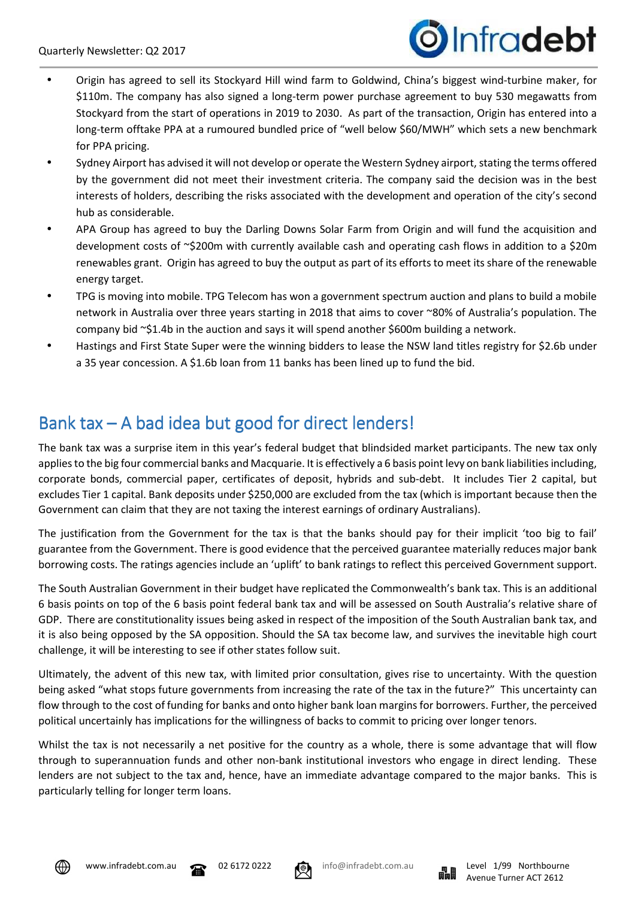# Dinfradebt

- Origin has agreed to sell its Stockyard Hill wind farm to Goldwind, China's biggest wind-turbine maker, for \$110m. The company has also signed a long-term power purchase agreement to buy 530 megawatts from Stockyard from the start of operations in 2019 to 2030. As part of the transaction, Origin has entered into a long-term offtake PPA at a rumoured bundled price of "well below \$60/MWH" which sets a new benchmark for PPA pricing.
- Sydney Airport has advised it will not develop or operate the Western Sydney airport, stating the terms offered by the government did not meet their investment criteria. The company said the decision was in the best interests of holders, describing the risks associated with the development and operation of the city's second hub as considerable.
- APA Group has agreed to buy the Darling Downs Solar Farm from Origin and will fund the acquisition and development costs of ~\$200m with currently available cash and operating cash flows in addition to a \$20m renewables grant. Origin has agreed to buy the output as part of its efforts to meet its share of the renewable energy target.
- TPG is moving into mobile. TPG Telecom has won a government spectrum auction and plans to build a mobile network in Australia over three years starting in 2018 that aims to cover ~80% of Australia's population. The company bid ~\$1.4b in the auction and says it will spend another \$600m building a network.
- Hastings and First State Super were the winning bidders to lease the NSW land titles registry for \$2.6b under a 35 year concession. A \$1.6b loan from 11 banks has been lined up to fund the bid.

## Bank tax – A bad idea but good for direct lenders!

The bank tax was a surprise item in this year's federal budget that blindsided market participants. The new tax only applies to the big four commercial banks and Macquarie. It is effectively a 6 basis point levy on bank liabilities including, corporate bonds, commercial paper, certificates of deposit, hybrids and sub-debt. It includes Tier 2 capital, but excludes Tier 1 capital. Bank deposits under \$250,000 are excluded from the tax (which is important because then the Government can claim that they are not taxing the interest earnings of ordinary Australians).

The justification from the Government for the tax is that the banks should pay for their implicit 'too big to fail' guarantee from the Government. There is good evidence that the perceived guarantee materially reduces major bank borrowing costs. The ratings agencies include an 'uplift' to bank ratings to reflect this perceived Government support.

The South Australian Government in their budget have replicated the Commonwealth's bank tax. This is an additional 6 basis points on top of the 6 basis point federal bank tax and will be assessed on South Australia's relative share of GDP. There are constitutionality issues being asked in respect of the imposition of the South Australian bank tax, and it is also being opposed by the SA opposition. Should the SA tax become law, and survives the inevitable high court challenge, it will be interesting to see if other states follow suit.

Ultimately, the advent of this new tax, with limited prior consultation, gives rise to uncertainty. With the question being asked "what stops future governments from increasing the rate of the tax in the future?" This uncertainty can flow through to the cost of funding for banks and onto higher bank loan margins for borrowers. Further, the perceived political uncertainly has implications for the willingness of backs to commit to pricing over longer tenors.

Whilst the tax is not necessarily a net positive for the country as a whole, there is some advantage that will flow through to superannuation funds and other non-bank institutional investors who engage in direct lending. These lenders are not subject to the tax and, hence, have an immediate advantage compared to the major banks. This is particularly telling for longer term loans.







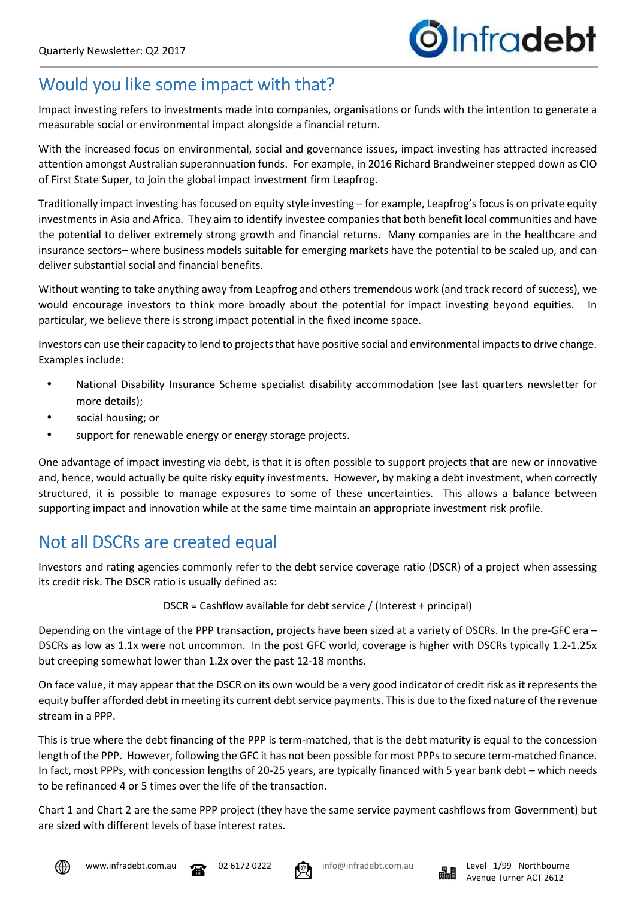## Would you like some impact with that?

Impact investing refers to investments made into companies, organisations or funds with the intention to generate a measurable social or environmental impact alongside a financial return.

With the increased focus on environmental, social and governance issues, impact investing has attracted increased attention amongst Australian superannuation funds. For example, in 2016 Richard Brandweiner stepped down as CIO of First State Super, to join the global impact investment firm Leapfrog.

Traditionally impact investing has focused on equity style investing – for example, Leapfrog's focus is on private equity investments in Asia and Africa. They aim to identify investee companies that both benefit local communities and have the potential to deliver extremely strong growth and financial returns. Many companies are in the healthcare and insurance sectors– where business models suitable for emerging markets have the potential to be scaled up, and can deliver substantial social and financial benefits.

Without wanting to take anything away from Leapfrog and others tremendous work (and track record of success), we would encourage investors to think more broadly about the potential for impact investing beyond equities. In particular, we believe there is strong impact potential in the fixed income space.

Investors can use their capacity to lend to projects that have positive social and environmental impacts to drive change. Examples include:

- National Disability Insurance Scheme specialist disability accommodation (see last quarters newsletter for more details);
- social housing; or
- support for renewable energy or energy storage projects.

One advantage of impact investing via debt, is that it is often possible to support projects that are new or innovative and, hence, would actually be quite risky equity investments. However, by making a debt investment, when correctly structured, it is possible to manage exposures to some of these uncertainties. This allows a balance between supporting impact and innovation while at the same time maintain an appropriate investment risk profile.

## Not all DSCRs are created equal

Investors and rating agencies commonly refer to the debt service coverage ratio (DSCR) of a project when assessing its credit risk. The DSCR ratio is usually defined as:

DSCR = Cashflow available for debt service / (Interest + principal)

Depending on the vintage of the PPP transaction, projects have been sized at a variety of DSCRs. In the pre-GFC era – DSCRs as low as 1.1x were not uncommon. In the post GFC world, coverage is higher with DSCRs typically 1.2-1.25x but creeping somewhat lower than 1.2x over the past 12-18 months.

On face value, it may appear that the DSCR on its own would be a very good indicator of credit risk as it represents the equity buffer afforded debt in meeting its current debt service payments. This is due to the fixed nature of the revenue stream in a PPP.

This is true where the debt financing of the PPP is term-matched, that is the debt maturity is equal to the concession length of the PPP. However, following the GFC it has not been possible for most PPPs to secure term-matched finance. In fact, most PPPs, with concession lengths of 20-25 years, are typically financed with 5 year bank debt – which needs to be refinanced 4 or 5 times over the life of the transaction.

Chart 1 and Chart 2 are the same PPP project (they have the same service payment cashflows from Government) but are sized with different levels of base interest rates.







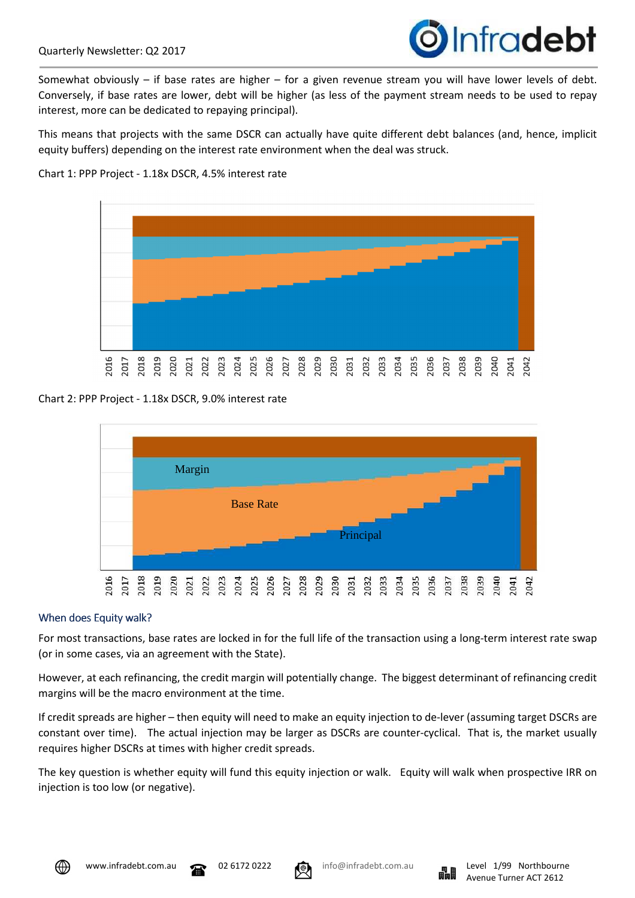

Somewhat obviously – if base rates are higher – for a given revenue stream you will have lower levels of debt. Conversely, if base rates are lower, debt will be higher (as less of the payment stream needs to be used to repay interest, more can be dedicated to repaying principal).

This means that projects with the same DSCR can actually have quite different debt balances (and, hence, implicit equity buffers) depending on the interest rate environment when the deal was struck.

#### Chart 1: PPP Project - 1.18x DSCR, 4.5% interest rate



Chart 2: PPP Project - 1.18x DSCR, 9.0% interest rate



#### When does Equity walk?

For most transactions, base rates are locked in for the full life of the transaction using a long-term interest rate swap (or in some cases, via an agreement with the State).

However, at each refinancing, the credit margin will potentially change. The biggest determinant of refinancing credit margins will be the macro environment at the time.

If credit spreads are higher – then equity will need to make an equity injection to de-lever (assuming target DSCRs are constant over time). The actual injection may be larger as DSCRs are counter-cyclical. That is, the market usually requires higher DSCRs at times with higher credit spreads.

The key question is whether equity will fund this equity injection or walk. Equity will walk when prospective IRR on injection is too low (or negative).





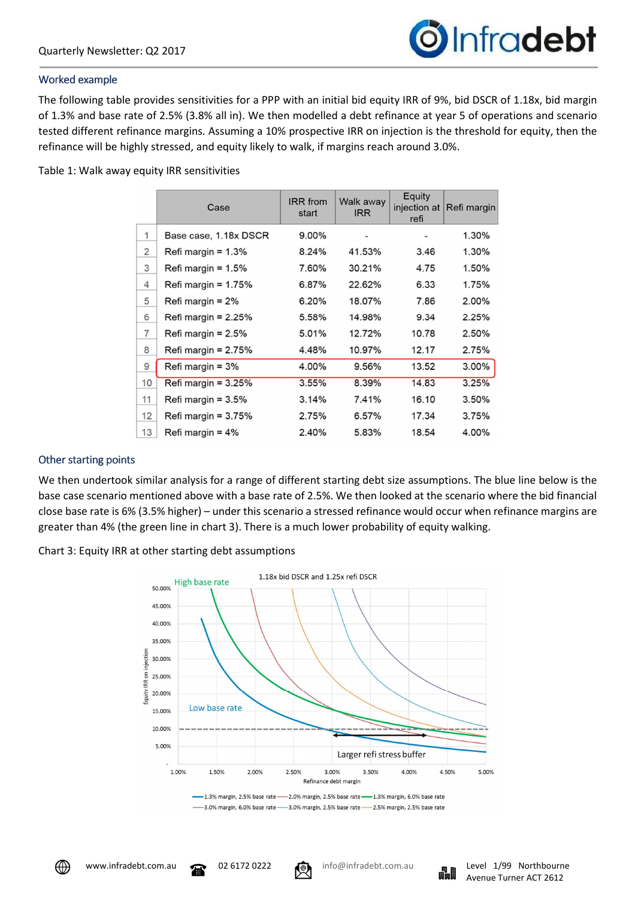

#### Worked example

The following table provides sensitivities for a PPP with an initial bid equity IRR of 9%, bid DSCR of 1.18x, bid margin of 1.3% and base rate of 2.5% (3.8% all in). We then modelled a debt refinance at year 5 of operations and scenario tested different refinance margins. Assuming a 10% prospective IRR on injection is the threshold for equity, then the refinance will be highly stressed, and equity likely to walk, if margins reach around 3.0%.

Table 1: Walk away equity IRR sensitivities

|                | Case                  | <b>IRR</b> from<br>start | Walk away<br><b>IRR</b> | Equity<br>refi | injection at Refi margin |
|----------------|-----------------------|--------------------------|-------------------------|----------------|--------------------------|
| 1              | Base case, 1.18x DSCR | 9.00%                    |                         |                | 1.30%                    |
| 2              | Refi margin = $1.3\%$ | 8.24%                    | 41.53%                  | 3.46           | 1.30%                    |
| 3              | Refi margin = $1.5\%$ | 7.60%                    | 30.21%                  | 4.75           | 1.50%                    |
| 4              | Refi margin = $1.75%$ | 6.87%                    | 22.62%                  | 6.33           | 1.75%                    |
| 5              | Refi margin = $2\%$   | 6.20%                    | 18.07%                  | 7.86           | 2.00%                    |
| 6              | Refi margin = $2.25%$ | 5.58%                    | 14.98%                  | 9.34           | 2.25%                    |
| $\overline{7}$ | Refi margin = $2.5%$  | 5.01%                    | 12.72%                  | 10.78          | 2.50%                    |
| 8              | Refi margin = $2.75%$ | 4.48%                    | 10.97%                  | 12.17          | 2.75%                    |
| 9              | Refi margin = $3%$    | 4.00%                    | 9.56%                   | 13.52          | 3.00%                    |
| 10             | Refi margin = $3.25%$ | 3.55%                    | 8.39%                   | 14.83          | 3.25%                    |
| 11             | Refi margin = $3.5%$  | 3.14%                    | 7.41%                   | 16.10          | 3.50%                    |
| 12             | Refi margin = $3.75%$ | 2.75%                    | 6.57%                   | 17.34          | 3.75%                    |
| 13             | Refi margin = $4\%$   | 2.40%                    | 5.83%                   | 18.54          | 4.00%                    |

## Other starting points

We then undertook similar analysis for a range of different starting debt size assumptions. The blue line below is the base case scenario mentioned above with a base rate of 2.5%. We then looked at the scenario where the bid financial close base rate is 6% (3.5% higher) – under this scenario a stressed refinance would occur when refinance margins are greater than 4% (the green line in chart 3). There is a much lower probability of equity walking.

Chart 3: Equity IRR at other starting debt assumptions



-3.0% margin, 6.0% base rate -- 3.0% margin, 2.5% base rate -- 2.5% margin, 2.5% base rate